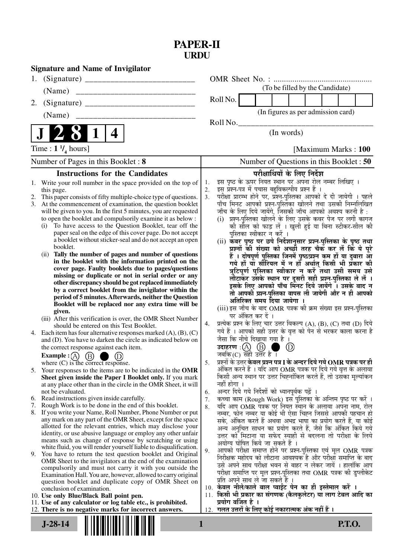## **PAPER-II URDU**

| <b>Signature and Name of Invigilator</b>                                                                                             |                                                                                                                                   |
|--------------------------------------------------------------------------------------------------------------------------------------|-----------------------------------------------------------------------------------------------------------------------------------|
| 1.                                                                                                                                   |                                                                                                                                   |
| (Name)                                                                                                                               | (To be filled by the Candidate)                                                                                                   |
| 2.                                                                                                                                   | Roll No.                                                                                                                          |
| (Name)                                                                                                                               | (In figures as per admission card)                                                                                                |
|                                                                                                                                      | Roll No.                                                                                                                          |
| 4                                                                                                                                    | (In words)                                                                                                                        |
| Time : $1 \frac{1}{4}$ hours]                                                                                                        | [Maximum Marks: 100]                                                                                                              |
| Number of Pages in this Booklet: 8                                                                                                   | Number of Questions in this Booklet : 50                                                                                          |
| <b>Instructions for the Candidates</b>                                                                                               | परीक्षार्थियों के लिए निर्देश                                                                                                     |
| 1. Write your roll number in the space provided on the top of                                                                        | इस पृष्ठ के ऊपर नियत स्थान पर अपना रोल नम्बर लिखिए ।<br>1.                                                                        |
| this page.                                                                                                                           | इस प्रश्न-पत्र में पचास बहुविकल्पीय प्रश्न हैं ।<br>2.<br>परीक्षा प्रारम्भ होने पर, प्रॅश्न-पुस्तिका आपको दे दी जायेगी । पहले     |
| This paper consists of fifty multiple-choice type of questions.<br>2.<br>3. At the commencement of examination, the question booklet | 3.<br>पाँच मिनट आपको प्रश्न-पुस्तिका खोलने तथा उसकी निम्नलिखित                                                                    |
| will be given to you. In the first 5 minutes, you are requested                                                                      | जाँच के लिए दिये जायेंगे, जिसकी जाँच आपको अवश्य करनी है :                                                                         |
| to open the booklet and compulsorily examine it as below :                                                                           | प्रश्न-पुस्तिका खोलने के लिए उसके कवर पेज पर लगी कागज<br>(i)                                                                      |
| To have access to the Question Booklet, tear off the<br>(i)                                                                          | की सील को फाड़ लें । खुली हुई या बिना स्टीकर-सील की                                                                               |
| paper seal on the edge of this cover page. Do not accept<br>a booklet without sticker-seal and do not accept an open                 | पुस्तिका स्वीकार न करें ।                                                                                                         |
| booklet.                                                                                                                             | (ii) कवर पृष्ठ पर छपे निर्देशानुसार प्रश्न-पुस्तिका के पृष्ठ तथा<br>प्रश्नों की संख्या को अच्छी तरह चैक कर लें कि ये पूरे         |
| Tally the number of pages and number of questions<br>(ii)                                                                            | हैं । दोषपूर्ण पुस्तिका जिनमें पृष्ठ/प्रश्न कम हों या दुबारा आ                                                                    |
| in the booklet with the information printed on the                                                                                   | गये हों या सौरियल में न हों अर्थात् किसी भी प्रकार की                                                                             |
| cover page. Faulty booklets due to pages/questions<br>missing or duplicate or not in serial order or any                             | त्रुटिपूर्ण पुस्तिका स्वीकार न करें तथा उसी समय उसे                                                                               |
| other discrepancy should be got replaced immediately                                                                                 | लौटाकर उसके स्थान पर दूसरी सही प्रश्न-पुस्तिका ले लें ।                                                                           |
| by a correct booklet from the invigilator within the                                                                                 | इसके लिए आपको पाँच मिनट दिये जायेंगे । उसके बाद न<br>तो आपकी प्रश्न-पुस्तिका वापस ली जायेगी और न ही आपको                          |
| period of 5 minutes. Afterwards, neither the Question                                                                                | अतिरिक्त समय दिया जायेगा                                                                                                          |
| Booklet will be replaced nor any extra time will be                                                                                  | (iii) इस जाँच के बाद OMR पत्रक की क्रम संख्या इस प्रश्न-पुस्तिका                                                                  |
| given.<br>(iii) After this verification is over, the OMR Sheet Number                                                                | पर अंकित कर दें ।                                                                                                                 |
| should be entered on this Test Booklet.                                                                                              | प्रत्येक प्रश्न के लिए चार उत्तर विकल्प (A), (B), (C) तथा (D) दिये<br>4.                                                          |
| 4. Each item has four alternative responses marked $(A)$ , $(B)$ , $(C)$                                                             | गये हैं । आपको सही उत्तर के वृत्त को पेन से भरकर काला करना है                                                                     |
| and (D). You have to darken the circle as indicated below on                                                                         | जैसा कि नीचे दिखाया गया है ।                                                                                                      |
| the correct response against each item.                                                                                              | उदाहरण $\,$ :(A) $\,$ (B) $\,$ ।<br>$\circledcirc$<br>जबकि (C) सही उत्तर है ।                                                     |
| <b>Example</b> : (A) $(B)$<br>(D)<br>and the contract<br>where $(C)$ is the correct response.                                        | प्रश्नों के उत्तर <b>केवल प्रश्न पत्र I के अन्दर दिये गये OMR पत्रक पर ही</b><br>5.                                               |
| 5. Your responses to the items are to be indicated in the OMR                                                                        | अंकित करने हैं । यदि आप OMR पत्रक पर दिये गये वृत्त के अलावा                                                                      |
| Sheet given inside the Paper I Booklet only. If you mark                                                                             | किसी अन्य स्थान पर उत्तर चिह्नांकित करते हैं, तो उसका मूल्यांकन                                                                   |
| at any place other than in the circle in the OMR Sheet, it will                                                                      | नहीं होगा ।                                                                                                                       |
| not be evaluated.<br>6. Read instructions given inside carefully.                                                                    | अन्दर दिये गये निर्देशों को ध्यानपूर्वक पढ़ें ।<br>6.                                                                             |
| Rough Work is to be done in the end of this booklet.<br>7.                                                                           | कच्चा काम (Rough Work) इस पुस्तिका के अन्तिम पृष्ठ पर करें ।<br>7.<br>यदि आप OMR पत्रक पर नियत स्थान के अलावा अपना नाम, रोल<br>8. |
| 8. If you write your Name, Roll Number, Phone Number or put                                                                          | नम्बर, फोन नम्बर या कोई भी ऐसा चिह्न जिससे आपकी पहचान हो                                                                          |
| any mark on any part of the OMR Sheet, except for the space                                                                          | सके, अंकित करते हैं अथवा अभद्र भाषा का प्रयोग करते हैं, या कोई                                                                    |
| allotted for the relevant entries, which may disclose your<br>identity, or use abusive language or employ any other unfair           | अन्य अनुचित साधन का प्रयोग करते हैं, जैसे कि अंकित किये गये                                                                       |
| means such as change of response by scratching or using                                                                              | उत्तर को मिटाना या सफेद स्याही से बदलना तो परीक्षा के लिये                                                                        |
| white fluid, you will render yourself liable to disqualification.                                                                    | अयोग्य घोषित किये जा सकते हैं ।<br>आपको परीक्षा समाप्त होने पर प्रश्न-पुस्तिका एवं मूल OMR पत्रक<br>9.                            |
| 9. You have to return the test question booklet and Original                                                                         | निरीक्षक महोदय को लौटाना आवश्यक है और परीक्षा समाप्ति के बाद                                                                      |
| OMR Sheet to the invigilators at the end of the examination<br>compulsorily and must not carry it with you outside the               | उसे अपने साथ परीक्षा भवन से बाहर न लेकर जायें । हालांकि आप                                                                        |
| Examination Hall. You are, however, allowed to carry original                                                                        | परीक्षा समाप्ति पर मूल प्रश्न-पुस्तिका तथा OMR पत्रक की डुप्लीकेट                                                                 |
| question booklet and duplicate copy of OMR Sheet on                                                                                  | प्रति अपने साथ ले जा सकते हैं ।                                                                                                   |
| conclusion of examination.                                                                                                           | 10. केवल नीले/काले बाल प्वाईट पेन का ही इस्तेमाल करें ।<br>किसी भी प्रकार का संगणक (कैलकुलेटर) या लाग टेबल आदि का<br>11.          |
| 10. Use only Blue/Black Ball point pen.<br>11. Use of any calculator or log table etc., is prohibited.                               | प्रयोग वर्जित है ।                                                                                                                |
| 12. There is no negative marks for incorrect answers.                                                                                | गलत उत्तरों के लिए कोई नकारात्मक अंक नहीं हैं ।<br>12.                                                                            |
| $J-28-14$                                                                                                                            | <b>P.T.O.</b><br>$\mathbf{1}$                                                                                                     |
|                                                                                                                                      |                                                                                                                                   |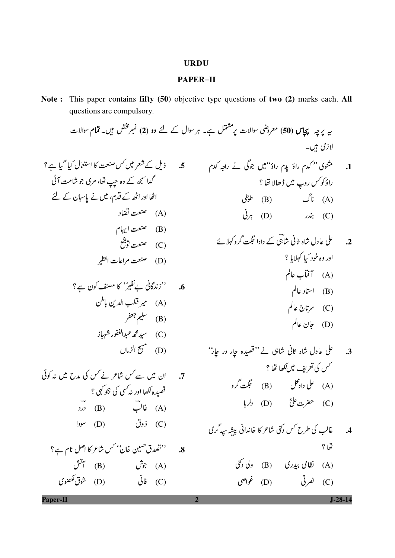## **URDU**

## **PAPER-II**

Note: This paper contains fifty (50) objective type questions of two (2) marks each. All questions are compulsory.

$$
\frac{1}{2} \times \frac{1}{2} \times \frac{1}{2} \times \frac{1}{2} \times \frac{1}{2} \times \frac{1}{2} \times \frac{1}{2} \times \frac{1}{2} \times \frac{1}{2} \times \frac{1}{2} \times \frac{1}{2} \times \frac{1}{2} \times \frac{1}{2} \times \frac{1}{2} \times \frac{1}{2} \times \frac{1}{2} \times \frac{1}{2} \times \frac{1}{2} \times \frac{1}{2} \times \frac{1}{2} \times \frac{1}{2} \times \frac{1}{2} \times \frac{1}{2} \times \frac{1}{2} \times \frac{1}{2} \times \frac{1}{2} \times \frac{1}{2} \times \frac{1}{2} \times \frac{1}{2} \times \frac{1}{2} \times \frac{1}{2} \times \frac{1}{2} \times \frac{1}{2} \times \frac{1}{2} \times \frac{1}{2} \times \frac{1}{2} \times \frac{1}{2} \times \frac{1}{2} \times \frac{1}{2} \times \frac{1}{2} \times \frac{1}{2} \times \frac{1}{2} \times \frac{1}{2} \times \frac{1}{2} \times \frac{1}{2} \times \frac{1}{2} \times \frac{1}{2} \times \frac{1}{2} \times \frac{1}{2} \times \frac{1}{2} \times \frac{1}{2} \times \frac{1}{2} \times \frac{1}{2} \times \frac{1}{2} \times \frac{1}{2} \times \frac{1}{2} \times \frac{1}{2} \times \frac{1}{2} \times \frac{1}{2} \times \frac{1}{2} \times \frac{1}{2} \times \frac{1}{2} \times \frac{1}{2} \times \frac{1}{2} \times \frac{1}{2} \times \frac{1}{2} \times \frac{1}{2} \times \frac{1}{2} \times \frac{1}{2} \times \frac{1}{2} \times \frac{1}{2} \times \frac{1}{2} \times \frac{1}{2} \times \frac{1}{2} \times \frac{1}{2} \times \frac{1}{2} \times \frac{1}{2} \times \frac{1}{2} \times \frac{1}{2} \times \frac{1}{2} \times \frac{1}{2} \times \frac{1}{2} \times \frac{1}{2} \times \frac{1}{2} \times \frac{1
$$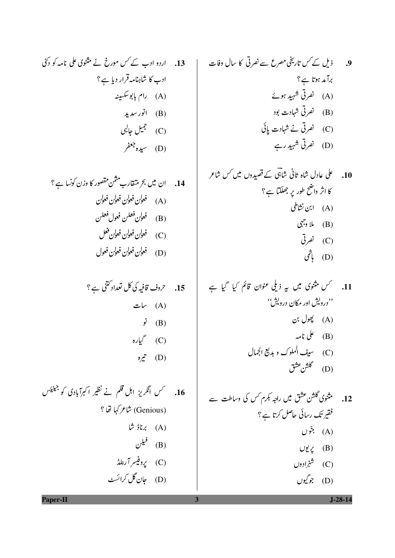9.

\n3. 
$$
i \neq j
$$

\n4.  $i \neq j$ 

\n5.  $i \neq j$ 

\n6.  $i \neq j$ 

\n7.  $i \neq j$ 

\n8.  $i \neq j$ 

\n9.  $i \neq j$ 

\n10.  $i \neq j$ 

\n21.  $i \neq j$ 

\n32.  $i \neq j$ 

\n4.  $i \neq j$ 

\n5.  $i \neq j$ 

\n6.  $i \neq j$ 

\n7.  $i \neq j$ 

\n8.  $i \neq j$ 

\n9.  $i \neq j$ 

\n10.  $i \neq j$ 

\n11.  $i \neq j$ 

\n12.  $i \neq j$ 

\n13.  $i \neq j$ 

\n14.  $i \neq j$ 

\n15.  $i \neq j$ 

\n16.  $i \neq j$ 

\n17.  $i \neq j$ 

\n18.  $i \neq j$ 

\n19.  $i \neq j$ 

\n10.  $i \neq j$ 

\n11.  $i \neq j$ 

\n12.  $i \neq j$ 

\n23.  $i \neq j$ 

\n34.  $i \neq j$ 

\n4.  $i \neq j$ 

\n5.  $i \neq j$ 

\n6.  $i \neq j$ 

\n7.  $i \neq j$ 

\n8. <

$$
\mathcal{L}(\Gamma) \quad \widehat{\mathscr{R}}
$$

13. اردو ادب کے کس مورخ نے مثنوی علی نامہ کو دکنی ادب کا شاہنامہ قرار دیا ہے؟ (A) رام بابوسکسینه (B) انور سدید (C) جمیل جالبی (D) سيده جعفر

15. 
$$
7(e^{\theta} - e^{\theta})
$$
  
\n(A)  $\theta$   
\n(B)  $\theta$   
\n(C)  $\theta$   
\n(D)  $\theta$ 

16. مسمس انگریز اہل قلم نے نظیر اکبرآبادی کو جینیئس (Genious) شاعر کہا تھا ؟  $\mathfrak{t}$   $\mathfrak{t}$   $\mathfrak{t}$   $\mathfrak{t}$   $\mathfrak{t}$   $\mathfrak{t}$   $\mathfrak{t}$   $\mathfrak{t}$ (B) فيلن (C) پروفیسر آرنلڈ (D) جان گل کرائسٹ

 $J-28-14$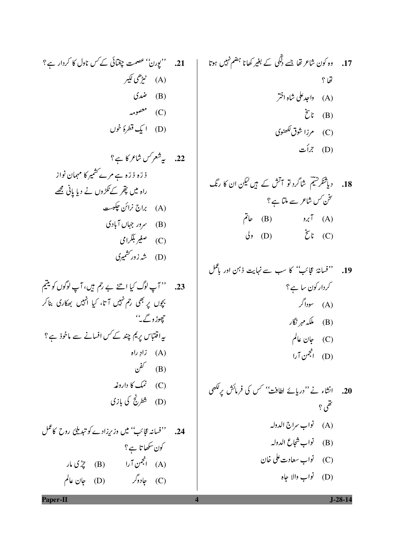21. ''یورن'' عصمت چغتائی کے کس ناول کا کردار ہے؟ (A) طمی<sup>ع</sup>می کیبر (B) ضم**ری**  $\rightarrow$   $\sim$   $\sim$   $\sim$   $\sim$   $\sim$   $\sim$ (D) ایک قطرۂ خوں

23. '' آپ لوگ کیا اتنے بے رحم ہیں، آپ لوگوں کو یتیم بچوں پر بھی رحم نہیں آتا، کیا انہیں بھکاری بناکر جھوڑ و<sub>گے۔''</sub> یہ اقت<sub>ت</sub>اس پریم چند کے *کس* افسانے سے ماخوذ ہے ؟ زاد (A) زادِ راه نفن $(\mathrm{B})$ (C) نمک کا داروغه (D) شطرنج کی بازی

.<br>24. ''فسانہ عجائب'' میں وزیرِزادے کو تبدیلیٗ روح کاعمل کون سکھا تا ہے؟ (A) انجمن آرا (B) چڑی مار (C) جادوگر (D) (C)

Paper-II

18. 
$$
l_1^{\frac{3}{2}}
$$
  $l_2^{\frac{3}{2}}$   $l_3^{\frac{3}{2}}$   $l_4^{\frac{3}{2}}$   $l_5^{\frac{3}{2}}$   $l_6^{\frac{3}{2}}$   $l_7^{\frac{3}{2}}$   $l_8^{\frac{3}{2}}$   $l_9^{\frac{3}{2}}$   $l_9^{\frac{3}{2}}$   $l_9^{\frac{3}{2}}$   $l_9^{\frac{3}{2}}$   $l_9^{\frac{3}{2}}$   $l_9^{\frac{3}{2}}$   $l_9^{\frac{3}{2}}$   $l_9^{\frac{3}{2}}$   $l_9^{\frac{3}{2}}$   $l_9^{\frac{3}{2}}$   $l_9^{\frac{3}{2}}$   $l_9^{\frac{3}{2}}$   $l_9^{\frac{3}{2}}$   $l_9^{\frac{3}{2}}$   $l_9^{\frac{3}{2}}$   $l_9^{\frac{3}{2}}$   $l_9^{\frac{3}{2}}$   $l_9^{\frac{3}{2}}$   $l_9^{\frac{3}{2}}$   $l_9^{\frac{3}{2}}$   $l_9^{\frac{3}{2}}$   $l_9^{\frac{3}{2}}$   $l_9^{\frac{3}{2}}$   $l_9^{\frac{3}{2}}$   $l_9^{\frac{3}{2}}$   $l_9^{\frac{3}{2}}$   $l_9^{\frac{3}{2}}$   $l_9^{\frac{3}{2}}$   $l_9^{\frac{3}{2}}$   $l_9^{\frac{3}{2}}$   $l_9^{\frac{3}{2}}$   $l_9^{\frac{3}{2}}$   $l_9^{\frac{3}{2}}$   $l_9^{\frac{3}{2}}$   $l_9^{\frac{3}{2}}$   $l_9^{\frac{3}{2}}$   $l_9^{\frac{3}{2}}$   $l_9^{\frac{3}{2}}$   $l_9^{\frac{3}{2}}$   $l_9^{\frac{$ 

(B) 
$$
i = \frac{1}{2} \text{d} \ln \left( \frac{1}{2} \right)
$$

 $J-28-14$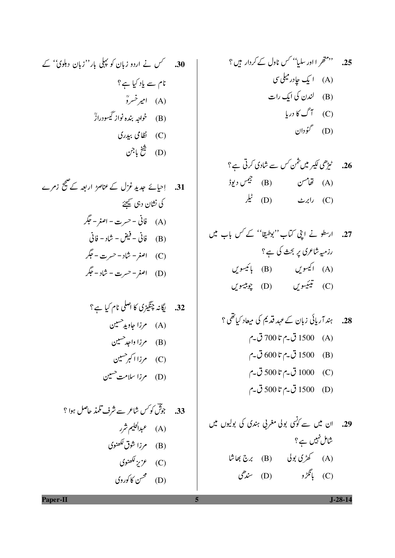30. 
$$
\sqrt{ }
$$
 30.  $\sqrt{}$   
51.  $\sqrt{}$  52.  $\sqrt{}$   
(A)  
74.  $\sqrt{}$  53.  $\sqrt{}$   
(B)  
(C)  
(D)  
55.  $\sqrt{}$  54.  $\sqrt{}$  55.  $\sqrt{}$   
(D)  
(E)  
55.  $\sqrt{}$  56.  $\sqrt{}$  57.  $\sqrt{}$   
(E)  
(D)

31. 
$$
|\alpha|
$$
  $\geq \alpha$   $\leq \alpha$   $|\alpha|$   $\geq 3$   
\n $\frac{1}{\alpha} \int \frac{d\alpha}{\beta} \cos \alpha \leq \alpha$   
\n(A)  $i \int \frac{d\alpha}{\beta} - \alpha \cos \alpha - \beta$   
\n(B)  $0 \int \frac{d\alpha}{\beta} - \frac{d\alpha}{\beta} - \alpha$   
\n(B)  $i \int \frac{d\alpha}{\beta} - \alpha \cos \alpha - \beta$   
\n(C)  $i \int \alpha \cos \alpha - \alpha \cos \alpha - \beta$   
\n(D)  $i \int \alpha \cos \alpha - \alpha \cos \alpha - \beta$ 

33. 
$$
9\frac{e^{2}y}{2}
$$
  
\n(A)  $9\frac{e^{2}y}{2}$   
\n(B)  $9\frac{e^{2}y}{2}$   
\n(B)  $9\frac{e^{2}y}{2}$   
\n(C)  $9\frac{e^{2}y}{2}$   
\n(D)  $9\frac{e^{2}y}{2}$ 

26. 
$$
t_{\frac{1}{2}}^*
$$
  $t_{\frac{3}{2}}$   $t_{\frac{1}{2}}$   $t_{\frac{1}{2}}$  (B)  $t_{\frac{1}{2}}$  (C)  $t_{\frac{1}{2}}$   $t_{\frac{1}{2}}$  (D)  $t_{\frac{1}{2}}$  (E)

28. 
$$
5x \overline{1}c_1\overline{2} \overline{6} \overline{2} \overline{6} \overline{2} \overline{6} \overline{2} \overline{6} \overline{2} \overline{6} \overline{2} \overline{6} \overline{2} \overline{6} \overline{2} \overline{6} \overline{2} \overline{6} \overline{2} \overline{6} \overline{2} \overline{6} \overline{2} \overline{6} \overline{2} \overline{6} \overline{2} \overline{6} \overline{2} \overline{6} \overline{2} \overline{6} \overline{2} \overline{6} \overline{2} \overline{6} \overline{2} \overline{6} \overline{2} \overline{6} \overline{2} \overline{6} \overline{2} \overline{6} \overline{2} \overline{6} \overline{2} \overline{6} \overline{2} \overline{6} \overline{2} \overline{6} \overline{2} \overline{6} \overline{2} \overline{6} \overline{2} \overline{6} \overline{2} \overline{6} \overline{2} \overline{6} \overline{2} \overline{6} \overline{2} \overline{6} \overline{2} \overline{6} \overline{2} \overline{6} \overline{2} \overline{6} \overline{2} \overline{6} \overline{2} \overline{6} \overline{2} \overline{6} \overline{2} \overline{6} \overline{2} \overline{6} \overline{2} \overline{6} \overline{2} \overline{6} \overline{2} \overline{6} \overline{2} \overline{6} \overline{2} \overline{6} \overline{2} \overline{6} \overline{2} \overline{6} \overline{2} \overline{6} \overline{2} \overline{6} \overline{2} \overline{6} \overline{2} \overline{6} \overline{2} \overline{6} \overline{2} \overline{6} \overline{2} \overline{6} \overline{2} \overline{6} \overline{2} \overline{6} \overline{2} \overline{6} \overline{2} \overline{6} \overline{2} \overline{6} \overline{2} \overline{6} \overline{2} \overline{6} \overline{
$$

 $J-28-14$ 

Paper-II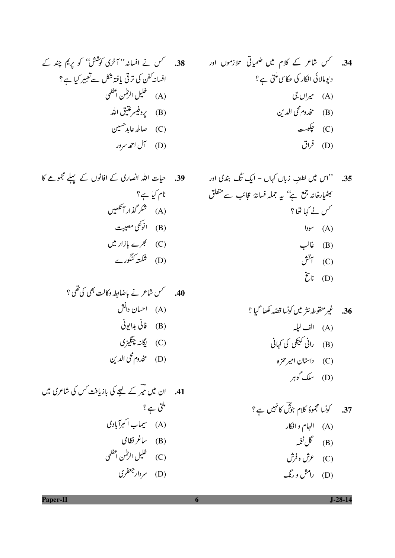38.  
\n
$$
\rightarrow
$$
 38.  
\n $\rightarrow$  38.  
\n $\rightarrow$  38.  
\n $\rightarrow$  39.  
\n $\rightarrow$  44.  
\n $\rightarrow$  45.  
\n $\rightarrow$  46.  
\n $\rightarrow$  47.  
\n $\rightarrow$  48.  
\n $\rightarrow$  49.  
\n $\rightarrow$  40.  
\n $\rightarrow$  41.  
\n $\rightarrow$  42.  
\n $\rightarrow$  45.  
\n $\rightarrow$  46.  
\n $\rightarrow$  47.  
\n $\rightarrow$  48.  
\n $\rightarrow$  49.  
\n $\rightarrow$  49.  
\n $\rightarrow$  49.  
\n $\rightarrow$  49.  
\n $\rightarrow$  49.  
\n $\rightarrow$  49.  
\n $\rightarrow$  49.  
\n $\rightarrow$  49.  
\n $\rightarrow$  49.  
\n $\rightarrow$  49.  
\n $\rightarrow$  49.  
\n $\rightarrow$  49.  
\n $\rightarrow$  49.  
\n $\rightarrow$  49.  
\n $\rightarrow$  49.  
\n $\rightarrow$  49.  
\n $\rightarrow$  49.  
\n $\rightarrow$  49.  
\n $\rightarrow$  49.  
\n $\rightarrow$  49.  
\n $\rightarrow$  49.  
\n $\rightarrow$  49.  
\n $\rightarrow$  49.  
\n $\rightarrow$  49.  
\n $\rightarrow$  49.  
\n $\rightarrow$  49.  
\n $\rightarrow$  49.  
\n $\rightarrow$  49.  
\n $\rightarrow$  49.  
\n $\rightarrow$  49.  
\n $\rightarrow$  49.  
\n $\rightarrow$  49.  
\n $\rightarrow$  49.  
\n $\rightarrow$  49.  
\n $\rightarrow$  49.  
\n $\rightarrow$  49.  
\n $\rightarrow$  49.  
\n

39. حیات اللہ انصاری کے افانوں کے پہلے مجموعے کا نام کیا ہے؟ (A) شکر گذار آنکھیں (B) انوکھی مصیبت (C) گجرے بازار میں (D) شکسته کنگورے

41. ان میں <del>میر</del> کے لیجے کی بازیافت *کس* کی ش*اعری میں* ملتی ہے؟ (A) سیماب اکبرآبادی (B) ساغرنظامی (C) خليل الرطمن أعظمي (D) سردار جعفری

- 36. يُسِمِرْ منقوطه نثر ميْن كونسا قصّه لكها حميا ؟ (A) الف ليله (B) رانی کتیکی کی کہانی (C) داستان امیر حمزه (D) سلک گوہر
- (A) الہام و افکار (B) گل نغمه (C) عرش وفرش
	- (D) رامش و رنگ

Paper-II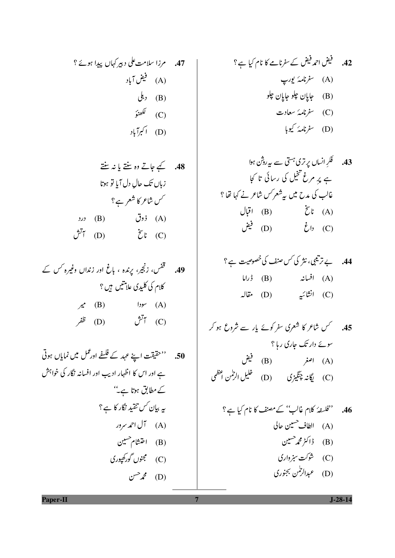43. 
$$
{}^{2}A \sqrt{11}
$$
 -  ${}_{2}C \sqrt{11}$  -  ${}_{2}C \sqrt{11}$  -  ${}^{2}C \sqrt{11}$  -  ${}^{2}C \sqrt{11}$  -  ${}^{2}C \sqrt{11}$  -  ${}^{2}C \sqrt{11}$  -  ${}^{2}C \sqrt{11}$  -  ${}^{2}C \sqrt{11}$  -  ${}^{2}C \sqrt{11}$  -  ${}^{2}C \sqrt{11}$  -  ${}^{2}C \sqrt{11}$  -  ${}^{2}C \sqrt{11}$  -  ${}^{2}C \sqrt{11}$  -  ${}^{2}C \sqrt{11}$  -  ${}^{2}C \sqrt{11}$  -  ${}^{2}C \sqrt{11}$  -  ${}^{2}C \sqrt{11}$  -  ${}^{2}C \sqrt{11}$  -  ${}^{2}C \sqrt{11}$  -  ${}^{2}C \sqrt{11}$  -  ${}^{2}C \sqrt{11}$  -  ${}^{2}C \sqrt{11}$  -  ${}^{2}C \sqrt{11}$  -  ${}^{2}C \sqrt{11}$  -  ${}^{2}C \sqrt{11}$  -  ${}^{2}C \sqrt{11}$  -  ${}^{2}C \sqrt{11}$  -  ${}^{2}C \sqrt{11}$  -  ${}^{2}C \sqrt{11}$  -  ${}^{2}C \sqrt{11}$  -  ${}^{2}C \sqrt{11}$  -  ${}^{2}C \sqrt{11}$  -  ${}^{2}C \sqrt{11}$  -  ${}^{2}C \sqrt{11}$  -  ${}^{2}C \sqrt{11}$  -  ${}^{2}C \sqrt{11}$  -  ${}^{2}C \sqrt{11}$  -  ${}^{2}C \sqrt{11}$  -  ${}^{2}C \sqrt{11}$  -  ${}^{2}C \sqrt{11}$  -  ${}^{2}C \sqrt{11}$  -  ${}^{2}C \sqrt{11}$  -  ${}^{2}C \sqrt{11}$  -  ${}^{2}C \sqrt{11$ 

44. 
$$
\Rightarrow \tilde{\mu} \neq 0
$$
  
\n(A) اخیانٹر کاک س منف کا *خصومی*ت ہے؟  
\n(A) انتائیتی (D) مقالہ

45. کس شاعر کا شعری سفر کوئے پار سے شروع ہو کر 

46. **''**نoperator 
$$
\hat{d}
$$
 (A)  $||\hat{d}||$   
(A)  $||\hat{d}||$   
(B)  $||\hat{d}||$   
(C)  $||\hat{d}||$   
(D)  $||\hat{d}||$ 

48. 
$$
\frac{1}{\sqrt{2}}
$$
 وہ ننتا یا ند ننت  
زبان تک والِ دل آیا تو ہوتا  
(A) فوت (B)  
تیٰٔ (B)

50. ''حقيقت اسينے عہد کے فلسفے اورعمل میں نمایاں ہوتی ہے اور اس کا اظہار ادیب اور افسانہ نگار کی خواہش کے مطابق ہوتا ہے'' یہ بیان *کس ت*نقید نگار کا ہے؟ (A) آل احمد سرور (B) اختشام حسین (C) مجنوں گورکھپوری  $C^{\sim}$   $\mathcal{I}$  (D)

Paper-II

 $J-28-14$